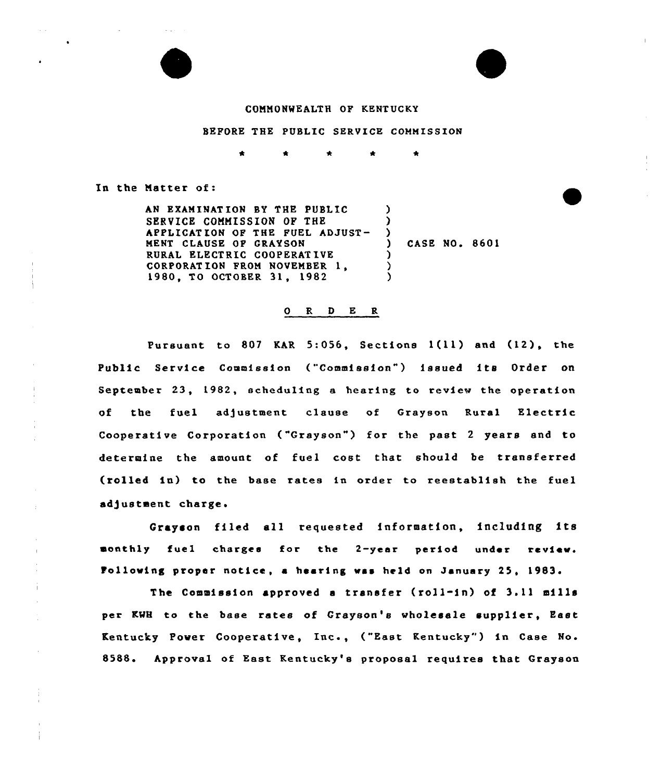## COMMONWEALTH OF KENTUCKY

## BEFORE THE PUBLIC SERVICE COMMISSION

 $\bullet$ 

In the Matter of:

Ì.

÷

 $\sim 100$ 

AN EXAMINAT ION BY THE PUBLIC SERVICE COMMISSION OF THE APPLICATION OF THE FUEL ADJUST-MENT CLAUSE OF GRAYSON RURAL ELECTRIC COOPERAT IVE CORPORAT ION FROM NOVEMBER 1, 1980, TO OCTOBER 31, 1982  $\left\{ \right\}$ )<br>) ) CASE NO. 8601 )  $\lambda$ )

## O R D E R

Pursuant to <sup>807</sup> KAR 5:056, Sections 1(ll) and (12), the Public Service Commission ("Commission") issued its Order on September 23, 1982, scheduling a hearing to review the operation of the fuel adjustment clause of Grayson Rural Electric Cooperative Corporation ("Grayson") for the past 2 years and to determine the amount of fuel cost that should be transferred (rolled in) to the base xates in order to reestablish the fuel adjustment charge.

Grayson filed all requested information, including its monthly fuel charges for the 2-year period under review. Folio»ing proper notice, <sup>a</sup> hearing »as held on January 25, 1983.

The Commission approved <sup>a</sup> transfer (roll-in) of 3.11 mills per KWH to the base rates of Grayson's wholesale supplier, East Kentucky Pover Cooperative, Inc., ("East Kentucky" ) in Case No. 8588. Approval of East Kentucky's proposal requires that Grayson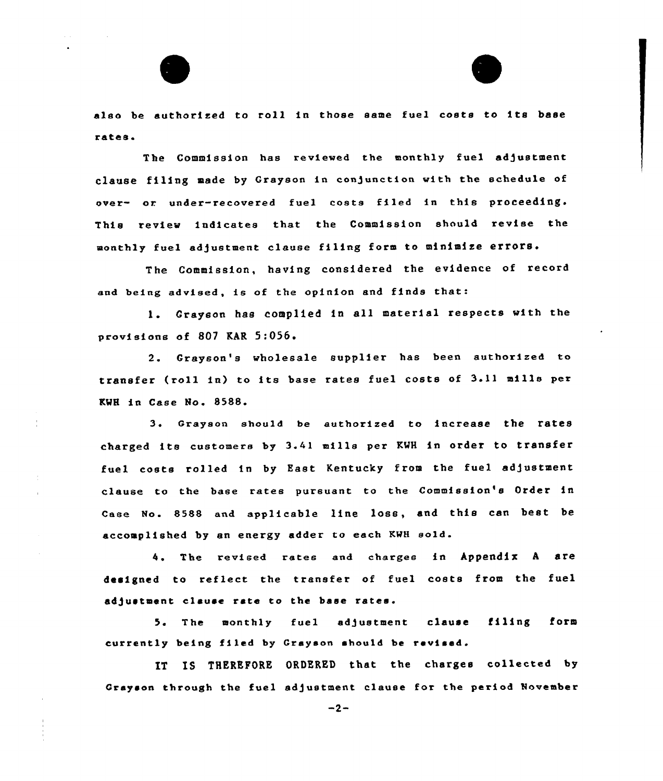



also be authorized to roll in those same fuel costs to its base rates <sup>a</sup>

The Commission has reviewed the monthly fuel adjustment clause filing made by Grayson in conjunction with the schedule of over- or under-recovered fuel costs filed in this proceeding. This review indicates that the Commission should revise the monthly fuel adjustment clause filing form to minimize errors.

The Commission, having considered the evidence of record and being advised, is of the opinion and finds that:

1. Crayson has complied in all material respects with the provisions of 807 RAR 5:056

Grayson's wholesale supplier has been authorized to transfer (roll in) to its base rates fuel costs of 3.11 mills per KMH in Case No. 8588.

3. Grayson should be authorized to increase the rates charged its customers by 3.41 mills per KMH in order to transfer fuel costs rolled in by East Kentucky from the fuel adjustment clause to the base rates pursuant to the Commission's Order in Case No. 8588 and applicable line loss, and this can best be accomplished by an energy adder to each KMH sold.

4. The revised rates and charges in Appendix A are designed to reflect the transfer of fuel costs from the fuel ad)ustmant clause rate to the base rates.

5. The monthly fuel adjustment clause filing form currently being filed by Grayson should be revised.

IT IS THEREFORE ORDERED that the charges collected by Grayson through the fuel sd)ustment clause for the period November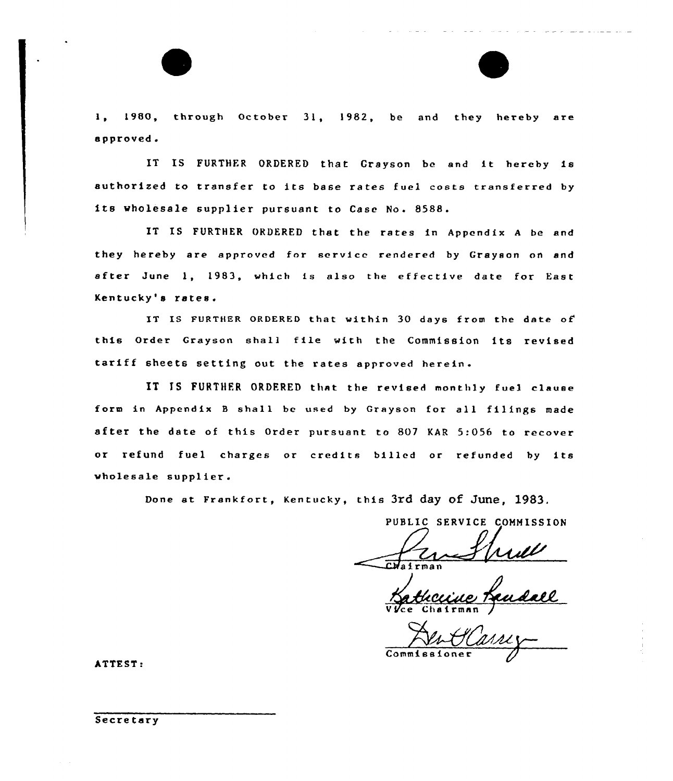1, 1980, through October 31, 1982, be and they hereby are approved.

IT IS FURTHFR ORDERED that Grayson be and it hereby ia authorised to transfer to its base rates fuel costs transferred by its wholesale supplier pursuant to Case No. 8588.

IT IS FURTHER ORDERED that the rates in Appendix <sup>A</sup> be and they hereby are approved for service rendered by Grayson on and after June 1, 1983, which is also the effective date for East Kentucky's rates.

IT IS FURTHER ORDERED that within 30 days from the date of this Order Grayson shall file with the Commission its revised tariff sheets setting out the rates approved herein .

IT IS FURTHER ORDERED that the revised monthly fuel clause form in Appendix <sup>B</sup> shall be used by Grayson for all filings made after the date of this Order pursuant to 807 KAR 5:056 to recover or refund fuel charges or credits billed or refunded by ita wholesale supplier.

Done at Frankfort, Kentucky, this 3rd day of June, 1983.

PUBLIC SERVICE COMMISSION

CHairman

 $2.1 - 2.2 - 1$ 

Vice Chairman /

Commissione

ATTEST:

Secretary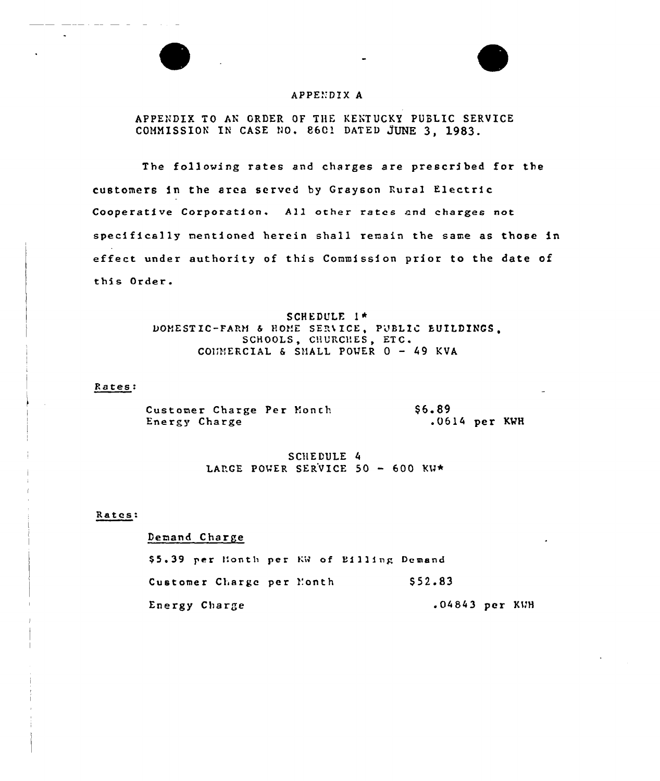# APPENDIX A

APPENDIX TO AN ORDER OF THE KENTUCKY PUBLIC SERVICE COMMISSION IN CASE NO. 8601 DATED JUNE 3. 1983.

The following rates and charges are prescribed for the customers in the area served by Grayson Rural Electric Cooperative Corporation. All other rates and charges not specifically mentioned herein shall remain the same as those in effect under authority of this Commission prior to the date of this Order.

> SCHEDULE I\* DOMESTIC-FARM & HOME SERVICE, PUBLIC EUILDINGS. SCHOOLS, CHURCHES, ETC. COUNERCIAL & SHALL POWER  $0 - 49$  KVA

## Rates:

S6.89 Customer Charge Per Month Energy Charge  $.0614$  per KWH

> SCHEDULE 4 LARGE POWER SERVICE 50 - 600 KW\*

#### Rates:

Demand Charge

\$5.39 per Honth per KW of Billing Demand \$52.83 Customer Charge per Month Energy Charge .04843 per KWH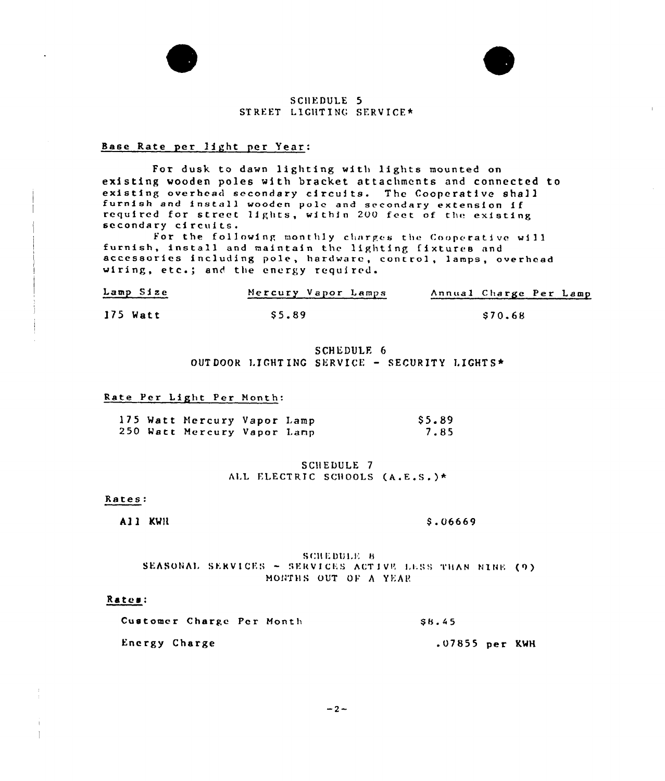

# SCHEDULE<sub>5</sub> STREET LIGHTING SERVICE\*

# Base Rate per light per Year:

For dusk to dawn lighting with lights mounted on existing wooden poles with bracket attachments and connected to existing overhead secondary circuits. The Cooperative shall furnish and install wooden pole and secondary extension if required for street lights, within 200 feet of the existing secondary circuits.

For the following monthly charges the Cooperative will furnish, install and maintain the lighting fixtures and accessories including pole, hardware, control, lamps, overhead wiring, etc.; and the energy required.

| Lamp Size | Mercury Vapor Lamps | Annual Charge Per Lamp |
|-----------|---------------------|------------------------|
| 175 Watt  | S5.89               | S70.68                 |

# SCHEDULE 6 OUTDOOR LIGHTING SERVICE - SECURITY LIGHTS\*

## Rate Per Light Per Month:

|  | 175 Watt Mercury Vapor Lamp |  | \$5.89 |
|--|-----------------------------|--|--------|
|  | 250 Watt Mercury Vapor Lamp |  | 7.85   |

# SCHEDULE 7 ALL ELECTRIC SCHOOLS (A.E.S.)\*

#### Rates:

All KWN

#### \$.06669

### SCHEDULE 8 SEASONAL SERVICES - SERVICES ACTIVE LESS THAN NINE (9) MONTHS OUT OF A YEAR

## Rates:

| Customer Charge Per Month |  | SB 45 |                  |  |
|---------------------------|--|-------|------------------|--|
| Energy Charge             |  |       | $.07855$ per KWH |  |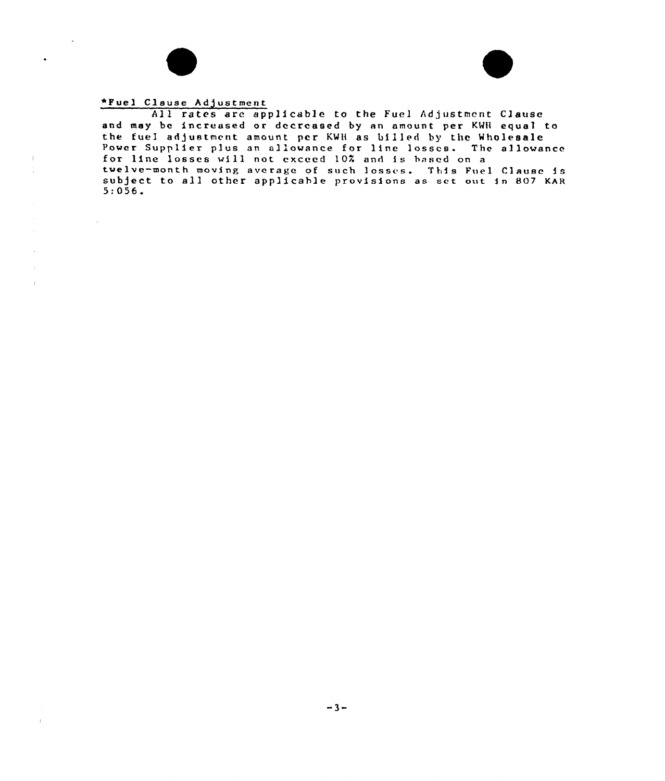

 $\bullet$ 

 $\bar{\rm I}$ ÷,

 $\bar{z}$  $\bar{z}$  $\pm$ 

 $\bar{z}$ 

 $\sim 10^{-11}$ 



# \*Fuel Clause Adjustment

All rates are applicable to the Fuel Adjustment Clause and may be increased or decreased by an amo unt per KWli equal to the fuel adjustment amount per KWH as billed by the Wholesal Power Supplier plus an allowance for line losses. The allowance for line losses will not exceed 10K and is based on a twelve-month moving average of such losses. subject to all other applicable provisions 5:056. twelve-month moving average of such losses. This Fuel Clause is as set out in 807 KAR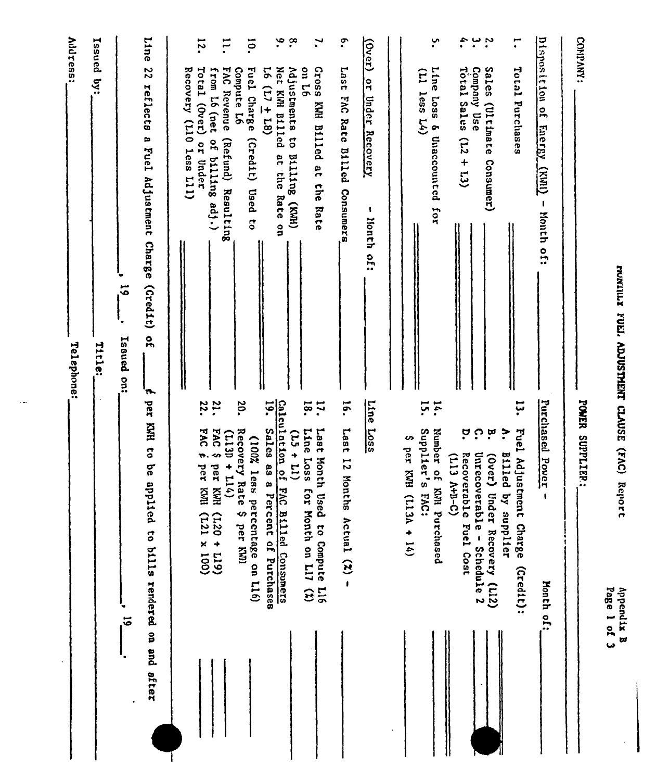|                                                                                                                | <b>Address:</b><br>Telephone:                                                                                                  |
|----------------------------------------------------------------------------------------------------------------|--------------------------------------------------------------------------------------------------------------------------------|
|                                                                                                                | Issued by:<br>Title:                                                                                                           |
| $\vec{5}$                                                                                                      | $\overline{5}$<br>Issued on:                                                                                                   |
| per KNH to be app.<br>lied to bills rendered on and sfter                                                      | Line<br>22<br>reflects a Fuel Adjustment Charge<br>$(c_{red1})$<br>$\frac{1}{2}$<br>'n.                                        |
|                                                                                                                | Total (Over) or Under<br>Recovery (L10 less L11)                                                                               |
| FAC <sub>f</sub><br>$5$ OV <sub>3</sub><br>$(113D + 114)$<br>per KWH<br>per KWI<br>$(120 + 19)$<br>(121 × 100) | $\overline{5}$<br>$\overline{1}$<br>FAC Revenue<br>from L6 (net<br>of billing adj.)<br>(Refund) Resulting<br>22.<br><b>21.</b> |
| Recovery Rate<br>(100% less percentage on L16)<br>$\bullet$<br>per KWI                                         | $\overline{5}$<br>Fuel Charge<br>Compute L6<br>(2red1)<br>Used to<br>20.                                                       |
| Calculation of FAC Billed Consumers<br>Sales as a Percent of Purchases<br>$(11 + 11)$                          | ۹.<br>$\cdot^{\infty}$<br>$16(17 + 18)$<br>Adjustments to Billing (KWH)<br>Net KWH B111ed<br>at the Rate on<br>19.             |
| Last Month Used to Compute L16<br>Line Loss<br>101<br>Month on L17 (%)                                         | $\mathbf{v}$<br>91 no<br>Gross KWH Billed at the Rate<br>18.<br>$\ddot{5}$                                                     |
| Last 12 Months Actual $(2)$ -                                                                                  | $\cdot$<br>1ser <sub>1</sub><br>FAC Rate Billed<br>Consumers<br>$\overline{5}$                                                 |
| Line<br><b>Loss</b>                                                                                            | $\frac{1}{2}$<br>or Under Recovery<br>-1<br>lionth of:                                                                         |
|                                                                                                                |                                                                                                                                |
| Number of KNI<br>Supplier's FAC:<br>∽<br>$best$ KWH (L13A + 14)<br>Parchased                                   | ِ.,<br>Line Loss & Unaccounted for<br>(11 less L4)<br>14.                                                                      |
| $\Omega$<br>ŗ<br><b>Recoverable</b><br>Unrecoverable - Schedule 2<br>$(113 A+B-C)$<br>Fuel Cost                | ÷.<br>Total Sales<br>Company Use<br>$(61 + 71)$                                                                                |
| $\ddot{\phantom{0}}$<br>'n,<br>Billed by<br>(Over) Under Recovery (L12)<br>supplier                            | $\ddot{\phantom{0}}$<br>Sales (Ultimate Consumer)                                                                              |
| Fuel Adjustment Charge<br>(Credit):                                                                            | F<br>Total Purchases<br>تبا<br>پ                                                                                               |
| Purchased Pover<br>$\pmb{\mathfrak{t}}$<br><b>Month of:</b>                                                    | Disposition of<br>Energy (KWI)<br>- ISSIGN OF:                                                                                 |
| POWER SUPPLIER:                                                                                                | COMPANY:                                                                                                                       |
| Page 1 of 3<br>Appendix B                                                                                      | runiux ruki. ADJUSTMENT CLAUSE (FAC) Report                                                                                    |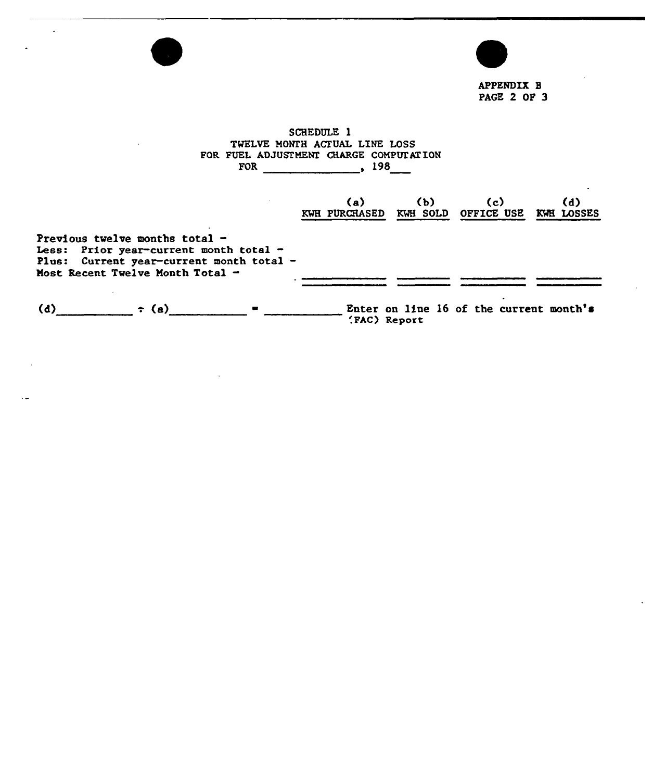

APPENDIX B PAGE 2 OF 3

SCHEDULE 1 TWELVE MONTH ACTUAL LINE LOSS FOR FUEL ADJUSTMENT CHARGE COMPUTATION FOR 198

 $\mathbf{r}$ 

|                                                                                                                                                              | (a)<br><b>KWH PURCHASED</b> | (b)<br>KWH SOLD | (c)<br><b>OFFICE USE</b>                | (d)<br>KWE LOSSES |
|--------------------------------------------------------------------------------------------------------------------------------------------------------------|-----------------------------|-----------------|-----------------------------------------|-------------------|
| Previous twelve months total $-$<br>Less: Prior year-current month total -<br>Plus: Current year-current month total -<br>Most Recent Twelve Month Total $-$ |                             |                 |                                         |                   |
| (d)<br>$\div$ (a)<br>$\blacksquare$                                                                                                                          | (FAC) Report                |                 | Enter on line 16 of the current month's |                   |